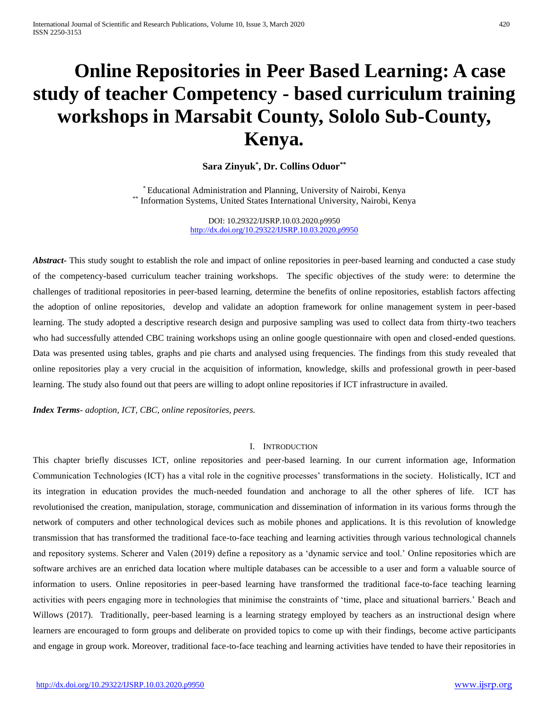# **Online Repositories in Peer Based Learning: A case study of teacher Competency - based curriculum training workshops in Marsabit County, Sololo Sub-County, Kenya.**

## **Sara Zinyuk\* , Dr. Collins Oduor\*\***

\* Educational Administration and Planning, University of Nairobi, Kenya \*\* Information Systems, United States International University, Nairobi, Kenya

> DOI: 10.29322/IJSRP.10.03.2020.p9950 <http://dx.doi.org/10.29322/IJSRP.10.03.2020.p9950>

Abstract<sub>r</sub> This study sought to establish the role and impact of online repositories in peer-based learning and conducted a case study of the competency-based curriculum teacher training workshops. The specific objectives of the study were: to determine the challenges of traditional repositories in peer-based learning, determine the benefits of online repositories, establish factors affecting the adoption of online repositories, develop and validate an adoption framework for online management system in peer-based learning. The study adopted a descriptive research design and purposive sampling was used to collect data from thirty-two teachers who had successfully attended CBC training workshops using an online google questionnaire with open and closed-ended questions. Data was presented using tables, graphs and pie charts and analysed using frequencies. The findings from this study revealed that online repositories play a very crucial in the acquisition of information, knowledge, skills and professional growth in peer-based learning. The study also found out that peers are willing to adopt online repositories if ICT infrastructure in availed.

*Index Terms*- *adoption, ICT, CBC, online repositories, peers.*

## I. INTRODUCTION

This chapter briefly discusses ICT, online repositories and peer-based learning. In our current information age, Information Communication Technologies (ICT) has a vital role in the cognitive processes' transformations in the society. Holistically, ICT and its integration in education provides the much-needed foundation and anchorage to all the other spheres of life. ICT has revolutionised the creation, manipulation, storage, communication and dissemination of information in its various forms through the network of computers and other technological devices such as mobile phones and applications. It is this revolution of knowledge transmission that has transformed the traditional face-to-face teaching and learning activities through various technological channels and repository systems. Scherer and Valen (2019) define a repository as a 'dynamic service and tool.' Online repositories which are software archives are an enriched data location where multiple databases can be accessible to a user and form a valuable source of information to users. Online repositories in peer-based learning have transformed the traditional face-to-face teaching learning activities with peers engaging more in technologies that minimise the constraints of 'time, place and situational barriers.' Beach and Willows (2017). Traditionally, peer-based learning is a learning strategy employed by teachers as an instructional design where learners are encouraged to form groups and deliberate on provided topics to come up with their findings, become active participants and engage in group work. Moreover, traditional face-to-face teaching and learning activities have tended to have their repositories in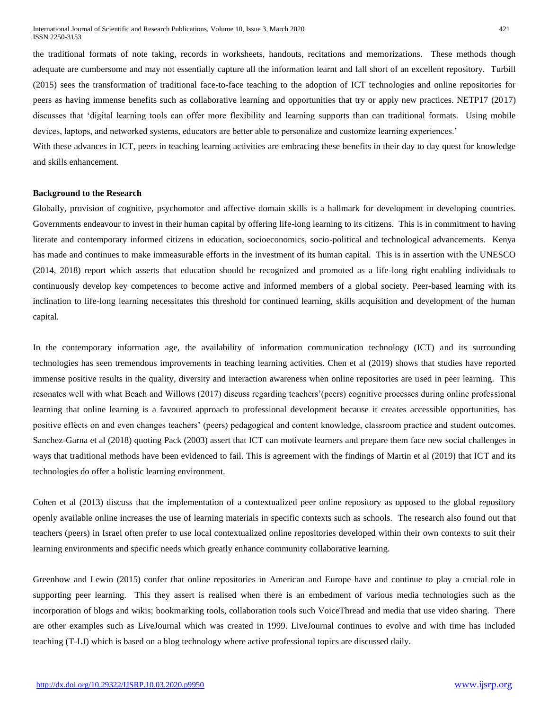the traditional formats of note taking, records in worksheets, handouts, recitations and memorizations. These methods though adequate are cumbersome and may not essentially capture all the information learnt and fall short of an excellent repository. Turbill (2015) sees the transformation of traditional face-to-face teaching to the adoption of ICT technologies and online repositories for peers as having immense benefits such as collaborative learning and opportunities that try or apply new practices. NETP17 (2017) discusses that 'digital learning tools can offer more flexibility and learning supports than can traditional formats. Using mobile devices, laptops, and networked systems, educators are better able to personalize and customize learning experiences.'

With these advances in ICT, peers in teaching learning activities are embracing these benefits in their day to day quest for knowledge and skills enhancement.

## **Background to the Research**

Globally, provision of cognitive, psychomotor and affective domain skills is a hallmark for development in developing countries. Governments endeavour to invest in their human capital by offering life-long learning to its citizens. This is in commitment to having literate and contemporary informed citizens in education, socioeconomics, socio-political and technological advancements. Kenya has made and continues to make immeasurable efforts in the investment of its human capital. This is in assertion with the UNESCO (2014, 2018) report which asserts that education should be recognized and promoted as a life-long right enabling individuals to continuously develop key competences to become active and informed members of a global society. Peer-based learning with its inclination to life-long learning necessitates this threshold for continued learning, skills acquisition and development of the human capital.

In the contemporary information age, the availability of information communication technology (ICT) and its surrounding technologies has seen tremendous improvements in teaching learning activities. Chen et al (2019) shows that studies have reported immense positive results in the quality, diversity and interaction awareness when online repositories are used in peer learning. This resonates well with what Beach and Willows (2017) discuss regarding teachers'(peers) cognitive processes during online professional learning that online learning is a favoured approach to professional development because it creates accessible opportunities, has positive effects on and even changes teachers' (peers) pedagogical and content knowledge, classroom practice and student outcomes. Sanchez-Garna et al (2018) quoting Pack (2003) assert that ICT can motivate learners and prepare them face new social challenges in ways that traditional methods have been evidenced to fail. This is agreement with the findings of Martin et al (2019) that ICT and its technologies do offer a holistic learning environment.

Cohen et al (2013) discuss that the implementation of a contextualized peer online repository as opposed to the global repository openly available online increases the use of learning materials in specific contexts such as schools. The research also found out that teachers (peers) in Israel often prefer to use local contextualized online repositories developed within their own contexts to suit their learning environments and specific needs which greatly enhance community collaborative learning.

Greenhow and Lewin (2015) confer that online repositories in American and Europe have and continue to play a crucial role in supporting peer learning. This they assert is realised when there is an embedment of various media technologies such as the incorporation of blogs and wikis; bookmarking tools, collaboration tools such VoiceThread and media that use video sharing. There are other examples such as LiveJournal which was created in 1999. LiveJournal continues to evolve and with time has included teaching (T-LJ) which is based on a blog technology where active professional topics are discussed daily.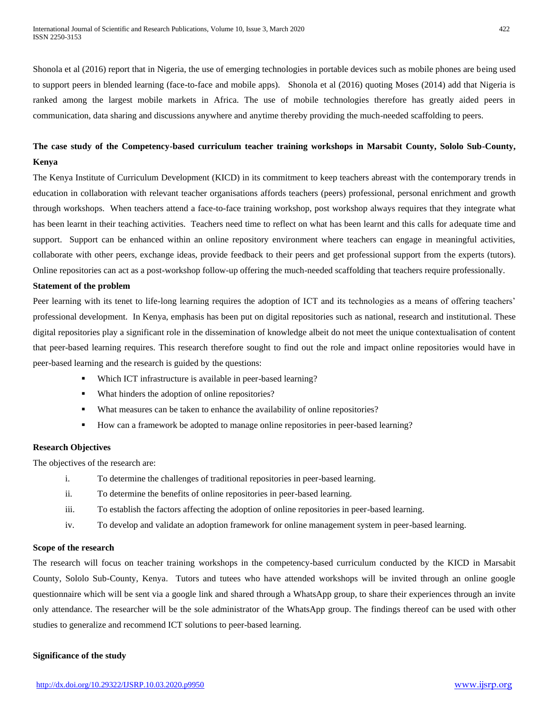Shonola et al (2016) report that in Nigeria, the use of emerging technologies in portable devices such as mobile phones are being used to support peers in blended learning (face-to-face and mobile apps). Shonola et al (2016) quoting Moses (2014) add that Nigeria is ranked among the largest mobile markets in Africa. The use of mobile technologies therefore has greatly aided peers in communication, data sharing and discussions anywhere and anytime thereby providing the much-needed scaffolding to peers.

## **The case study of the Competency-based curriculum teacher training workshops in Marsabit County, Sololo Sub-County, Kenya**

The Kenya Institute of Curriculum Development (KICD) in its commitment to keep teachers abreast with the contemporary trends in education in collaboration with relevant teacher organisations affords teachers (peers) professional, personal enrichment and growth through workshops. When teachers attend a face-to-face training workshop, post workshop always requires that they integrate what has been learnt in their teaching activities. Teachers need time to reflect on what has been learnt and this calls for adequate time and support. Support can be enhanced within an online repository environment where teachers can engage in meaningful activities, collaborate with other peers, exchange ideas, provide feedback to their peers and get professional support from the experts (tutors). Online repositories can act as a post-workshop follow-up offering the much-needed scaffolding that teachers require professionally.

## **Statement of the problem**

Peer learning with its tenet to life-long learning requires the adoption of ICT and its technologies as a means of offering teachers' professional development. In Kenya, emphasis has been put on digital repositories such as national, research and institutional. These digital repositories play a significant role in the dissemination of knowledge albeit do not meet the unique contextualisation of content that peer-based learning requires. This research therefore sought to find out the role and impact online repositories would have in peer-based learning and the research is guided by the questions:

- Which ICT infrastructure is available in peer-based learning?
- What hinders the adoption of online repositories?
- What measures can be taken to enhance the availability of online repositories?
- How can a framework be adopted to manage online repositories in peer-based learning?

## **Research Objectives**

The objectives of the research are:

- i. To determine the challenges of traditional repositories in peer-based learning.
- ii. To determine the benefits of online repositories in peer-based learning.
- iii. To establish the factors affecting the adoption of online repositories in peer-based learning.
- iv. To develop and validate an adoption framework for online management system in peer-based learning.

## **Scope of the research**

The research will focus on teacher training workshops in the competency-based curriculum conducted by the KICD in Marsabit County, Sololo Sub-County, Kenya. Tutors and tutees who have attended workshops will be invited through an online google questionnaire which will be sent via a google link and shared through a WhatsApp group, to share their experiences through an invite only attendance. The researcher will be the sole administrator of the WhatsApp group. The findings thereof can be used with other studies to generalize and recommend ICT solutions to peer-based learning.

#### **Significance of the study**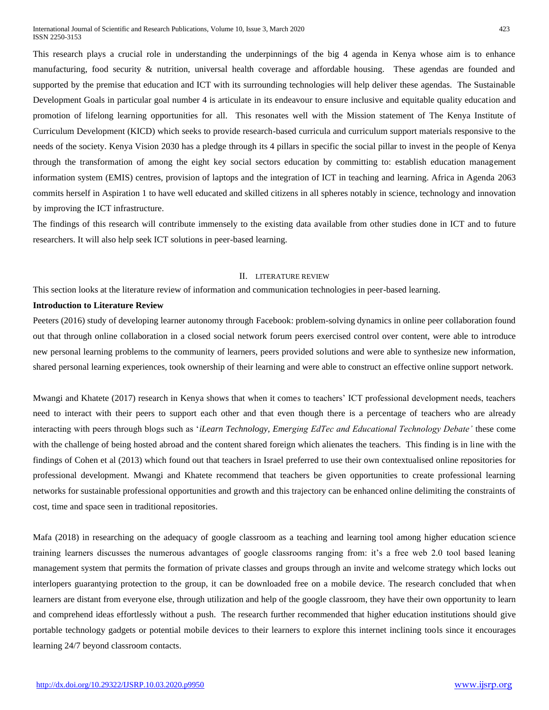This research plays a crucial role in understanding the underpinnings of the big 4 agenda in Kenya whose aim is to enhance manufacturing, food security & nutrition, universal health coverage and affordable housing. These agendas are founded and supported by the premise that education and ICT with its surrounding technologies will help deliver these agendas. The Sustainable Development Goals in particular goal number 4 is articulate in its endeavour to ensure inclusive and equitable quality education and promotion of lifelong learning opportunities for all. This resonates well with the Mission statement of The Kenya Institute of Curriculum Development (KICD) which seeks to provide research-based curricula and curriculum support materials responsive to the needs of the society. Kenya Vision 2030 has a pledge through its 4 pillars in specific the social pillar to invest in the people of Kenya through the transformation of among the eight key social sectors education by committing to: establish education management information system (EMIS) centres, provision of laptops and the integration of ICT in teaching and learning. Africa in Agenda 2063 commits herself in Aspiration 1 to have well educated and skilled citizens in all spheres notably in science, technology and innovation by improving the ICT infrastructure.

The findings of this research will contribute immensely to the existing data available from other studies done in ICT and to future researchers. It will also help seek ICT solutions in peer-based learning.

## II. LITERATURE REVIEW

This section looks at the literature review of information and communication technologies in peer-based learning.

## **Introduction to Literature Review**

Peeters (2016) study of developing learner autonomy through Facebook: problem-solving dynamics in online peer collaboration found out that through online collaboration in a closed social network forum peers exercised control over content, were able to introduce new personal learning problems to the community of learners, peers provided solutions and were able to synthesize new information, shared personal learning experiences, took ownership of their learning and were able to construct an effective online support network.

Mwangi and Khatete (2017) research in Kenya shows that when it comes to teachers' ICT professional development needs, teachers need to interact with their peers to support each other and that even though there is a percentage of teachers who are already interacting with peers through blogs such as '*iLearn Technology, Emerging EdTec and Educational Technology Debate'* these come with the challenge of being hosted abroad and the content shared foreign which alienates the teachers. This finding is in line with the findings of Cohen et al (2013) which found out that teachers in Israel preferred to use their own contextualised online repositories for professional development. Mwangi and Khatete recommend that teachers be given opportunities to create professional learning networks for sustainable professional opportunities and growth and this trajectory can be enhanced online delimiting the constraints of cost, time and space seen in traditional repositories.

Mafa (2018) in researching on the adequacy of google classroom as a teaching and learning tool among higher education science training learners discusses the numerous advantages of google classrooms ranging from: it's a free web 2.0 tool based leaning management system that permits the formation of private classes and groups through an invite and welcome strategy which locks out interlopers guarantying protection to the group, it can be downloaded free on a mobile device. The research concluded that when learners are distant from everyone else, through utilization and help of the google classroom, they have their own opportunity to learn and comprehend ideas effortlessly without a push. The research further recommended that higher education institutions should give portable technology gadgets or potential mobile devices to their learners to explore this internet inclining tools since it encourages learning 24/7 beyond classroom contacts.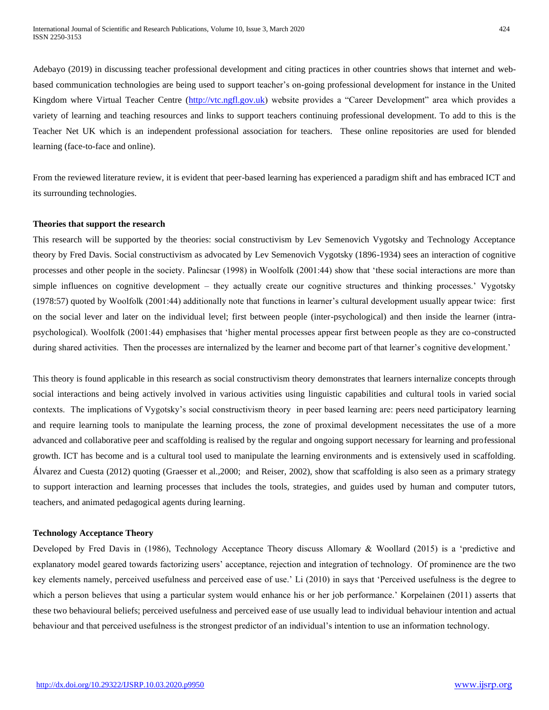Adebayo (2019) in discussing teacher professional development and citing practices in other countries shows that internet and webbased communication technologies are being used to support teacher's on-going professional development for instance in the United Kingdom where Virtual Teacher Centre [\(http://vtc.ngfl.gov.uk\)](http://vtc.ngfl.gov.uk/) website provides a "Career Development" area which provides a variety of learning and teaching resources and links to support teachers continuing professional development. To add to this is the Teacher Net UK which is an independent professional association for teachers. These online repositories are used for blended

From the reviewed literature review, it is evident that peer-based learning has experienced a paradigm shift and has embraced ICT and its surrounding technologies.

#### **Theories that support the research**

learning (face-to-face and online).

This research will be supported by the theories: social constructivism by Lev Semenovich Vygotsky and Technology Acceptance theory by Fred Davis. Social constructivism as advocated by Lev Semenovich Vygotsky (1896-1934) sees an interaction of cognitive processes and other people in the society. Palincsar (1998) in Woolfolk (2001:44) show that 'these social interactions are more than simple influences on cognitive development – they actually create our cognitive structures and thinking processes.' Vygotsky (1978:57) quoted by Woolfolk (2001:44) additionally note that functions in learner's cultural development usually appear twice: first on the social lever and later on the individual level; first between people (inter-psychological) and then inside the learner (intrapsychological). Woolfolk (2001:44) emphasises that 'higher mental processes appear first between people as they are co-constructed during shared activities. Then the processes are internalized by the learner and become part of that learner's cognitive development.'

This theory is found applicable in this research as social constructivism theory demonstrates that learners internalize concepts through social interactions and being actively involved in various activities using linguistic capabilities and cultural tools in varied social contexts. The implications of Vygotsky's social constructivism theory in peer based learning are: peers need participatory learning and require learning tools to manipulate the learning process, the zone of proximal development necessitates the use of a more advanced and collaborative peer and scaffolding is realised by the regular and ongoing support necessary for learning and professional growth. ICT has become and is a cultural tool used to manipulate the learning environments and is extensively used in scaffolding. Álvarez and Cuesta (2012) quoting (Graesser et al.,2000; and Reiser, 2002), show that scaffolding is also seen as a primary strategy to support interaction and learning processes that includes the tools, strategies, and guides used by human and computer tutors, teachers, and animated pedagogical agents during learning.

## **Technology Acceptance Theory**

Developed by Fred Davis in (1986), Technology Acceptance Theory discuss Allomary & Woollard (2015) is a 'predictive and explanatory model geared towards factorizing users' acceptance, rejection and integration of technology. Of prominence are the two key elements namely, perceived usefulness and perceived ease of use.' Li (2010) in says that 'Perceived usefulness is the degree to which a person believes that using a particular system would enhance his or her job performance.' Korpelainen (2011) asserts that these two behavioural beliefs; perceived usefulness and perceived ease of use usually lead to individual behaviour intention and actual behaviour and that perceived usefulness is the strongest predictor of an individual's intention to use an information technology.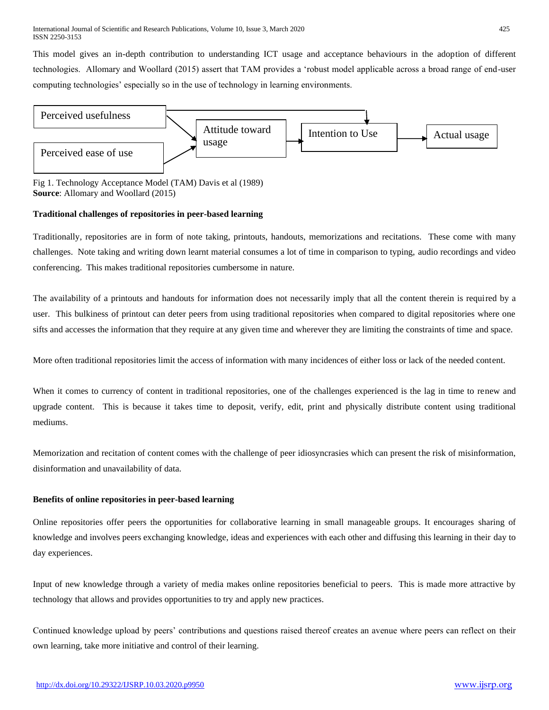This model gives an in-depth contribution to understanding ICT usage and acceptance behaviours in the adoption of different technologies. Allomary and Woollard (2015) assert that TAM provides a 'robust model applicable across a broad range of end-user computing technologies' especially so in the use of technology in learning environments.



Fig 1. Technology Acceptance Model (TAM) Davis et al (1989) **Source**: Allomary and Woollard (2015)

## **Traditional challenges of repositories in peer-based learning**

Traditionally, repositories are in form of note taking, printouts, handouts, memorizations and recitations. These come with many challenges. Note taking and writing down learnt material consumes a lot of time in comparison to typing, audio recordings and video conferencing. This makes traditional repositories cumbersome in nature.

The availability of a printouts and handouts for information does not necessarily imply that all the content therein is required by a user. This bulkiness of printout can deter peers from using traditional repositories when compared to digital repositories where one sifts and accesses the information that they require at any given time and wherever they are limiting the constraints of time and space.

More often traditional repositories limit the access of information with many incidences of either loss or lack of the needed content.

When it comes to currency of content in traditional repositories, one of the challenges experienced is the lag in time to renew and upgrade content. This is because it takes time to deposit, verify, edit, print and physically distribute content using traditional mediums.

Memorization and recitation of content comes with the challenge of peer idiosyncrasies which can present the risk of misinformation, disinformation and unavailability of data.

## **Benefits of online repositories in peer-based learning**

Online repositories offer peers the opportunities for collaborative learning in small manageable groups. It encourages sharing of knowledge and involves peers exchanging knowledge, ideas and experiences with each other and diffusing this learning in their day to day experiences.

Input of new knowledge through a variety of media makes online repositories beneficial to peers. This is made more attractive by technology that allows and provides opportunities to try and apply new practices.

Continued knowledge upload by peers' contributions and questions raised thereof creates an avenue where peers can reflect on their own learning, take more initiative and control of their learning.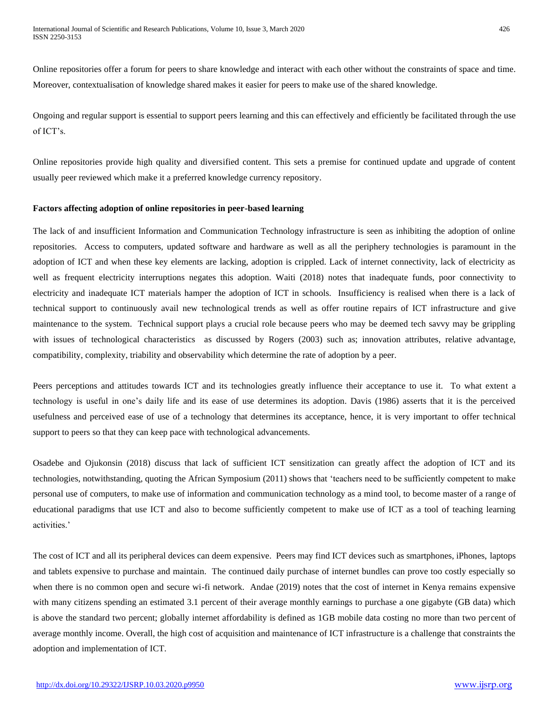Online repositories offer a forum for peers to share knowledge and interact with each other without the constraints of space and time. Moreover, contextualisation of knowledge shared makes it easier for peers to make use of the shared knowledge.

Ongoing and regular support is essential to support peers learning and this can effectively and efficiently be facilitated through the use of ICT's.

Online repositories provide high quality and diversified content. This sets a premise for continued update and upgrade of content usually peer reviewed which make it a preferred knowledge currency repository.

## **Factors affecting adoption of online repositories in peer-based learning**

The lack of and insufficient Information and Communication Technology infrastructure is seen as inhibiting the adoption of online repositories. Access to computers, updated software and hardware as well as all the periphery technologies is paramount in the adoption of ICT and when these key elements are lacking, adoption is crippled. Lack of internet connectivity, lack of electricity as well as frequent electricity interruptions negates this adoption. Waiti (2018) notes that inadequate funds, poor connectivity to electricity and inadequate ICT materials hamper the adoption of ICT in schools. Insufficiency is realised when there is a lack of technical support to continuously avail new technological trends as well as offer routine repairs of ICT infrastructure and give maintenance to the system. Technical support plays a crucial role because peers who may be deemed tech savvy may be grippling with issues of technological characteristics as discussed by Rogers (2003) such as; innovation attributes, relative advantage, compatibility, complexity, triability and observability which determine the rate of adoption by a peer.

Peers perceptions and attitudes towards ICT and its technologies greatly influence their acceptance to use it. To what extent a technology is useful in one's daily life and its ease of use determines its adoption. Davis (1986) asserts that it is the perceived usefulness and perceived ease of use of a technology that determines its acceptance, hence, it is very important to offer technical support to peers so that they can keep pace with technological advancements.

Osadebe and Ojukonsin (2018) discuss that lack of sufficient ICT sensitization can greatly affect the adoption of ICT and its technologies, notwithstanding, quoting the African Symposium (2011) shows that 'teachers need to be sufficiently competent to make personal use of computers, to make use of information and communication technology as a mind tool, to become master of a range of educational paradigms that use ICT and also to become sufficiently competent to make use of ICT as a tool of teaching learning activities.'

The cost of ICT and all its peripheral devices can deem expensive. Peers may find ICT devices such as smartphones, iPhones, laptops and tablets expensive to purchase and maintain. The continued daily purchase of internet bundles can prove too costly especially so when there is no common open and secure wi-fi network. Andae (2019) notes that the cost of internet in Kenya remains expensive with many citizens spending an estimated 3.1 percent of their average monthly earnings to purchase a one gigabyte (GB data) which is above the standard two percent; globally internet affordability is defined as 1GB mobile data costing no more than two percent of average monthly income. Overall, the high cost of acquisition and maintenance of ICT infrastructure is a challenge that constraints the adoption and implementation of ICT.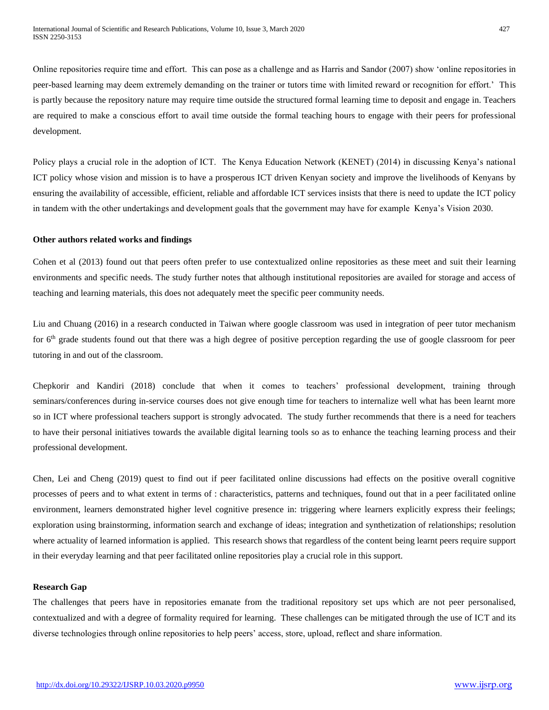Online repositories require time and effort. This can pose as a challenge and as Harris and Sandor (2007) show 'online repositories in peer-based learning may deem extremely demanding on the trainer or tutors time with limited reward or recognition for effort.' This is partly because the repository nature may require time outside the structured formal learning time to deposit and engage in. Teachers are required to make a conscious effort to avail time outside the formal teaching hours to engage with their peers for professional development.

Policy plays a crucial role in the adoption of ICT. The Kenya Education Network (KENET) (2014) in discussing Kenya's national ICT policy whose vision and mission is to have a prosperous ICT driven Kenyan society and improve the livelihoods of Kenyans by ensuring the availability of accessible, efficient, reliable and affordable ICT services insists that there is need to update the ICT policy in tandem with the other undertakings and development goals that the government may have for example Kenya's Vision 2030.

## **Other authors related works and findings**

Cohen et al (2013) found out that peers often prefer to use contextualized online repositories as these meet and suit their learning environments and specific needs. The study further notes that although institutional repositories are availed for storage and access of teaching and learning materials, this does not adequately meet the specific peer community needs.

Liu and Chuang (2016) in a research conducted in Taiwan where google classroom was used in integration of peer tutor mechanism for  $6<sup>th</sup>$  grade students found out that there was a high degree of positive perception regarding the use of google classroom for peer tutoring in and out of the classroom.

Chepkorir and Kandiri (2018) conclude that when it comes to teachers' professional development, training through seminars/conferences during in-service courses does not give enough time for teachers to internalize well what has been learnt more so in ICT where professional teachers support is strongly advocated. The study further recommends that there is a need for teachers to have their personal initiatives towards the available digital learning tools so as to enhance the teaching learning process and their professional development.

Chen, Lei and Cheng (2019) quest to find out if peer facilitated online discussions had effects on the positive overall cognitive processes of peers and to what extent in terms of : characteristics, patterns and techniques, found out that in a peer facilitated online environment, learners demonstrated higher level cognitive presence in: triggering where learners explicitly express their feelings; exploration using brainstorming, information search and exchange of ideas; integration and synthetization of relationships; resolution where actuality of learned information is applied. This research shows that regardless of the content being learnt peers require support in their everyday learning and that peer facilitated online repositories play a crucial role in this support.

## **Research Gap**

The challenges that peers have in repositories emanate from the traditional repository set ups which are not peer personalised, contextualized and with a degree of formality required for learning. These challenges can be mitigated through the use of ICT and its diverse technologies through online repositories to help peers' access, store, upload, reflect and share information.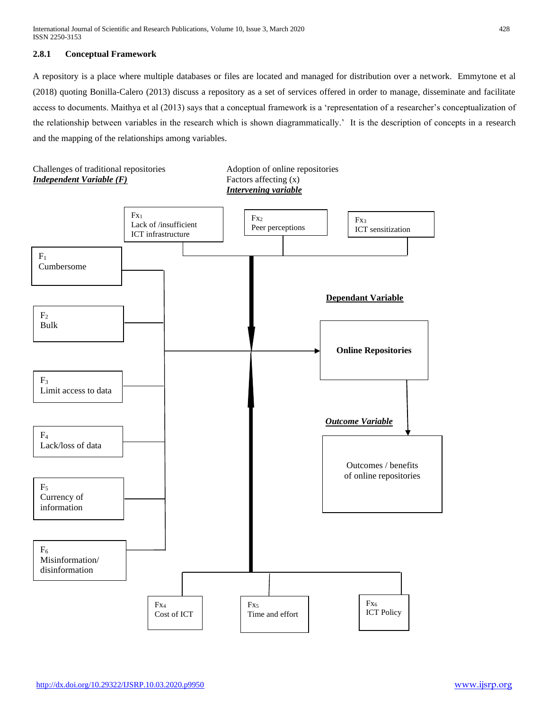## **2.8.1 Conceptual Framework**

A repository is a place where multiple databases or files are located and managed for distribution over a network. Emmytone et al (2018) quoting Bonilla-Calero (2013) discuss a repository as a set of services offered in order to manage, disseminate and facilitate access to documents. Maithya et al (2013) says that a conceptual framework is a 'representation of a researcher's conceptualization of the relationship between variables in the research which is shown diagrammatically.' It is the description of concepts in a research and the mapping of the relationships among variables.

Challenges of traditional repositories Adoption of online repositories *Independent Variable (F)* Factors affecting (x)

*Intervening variable*

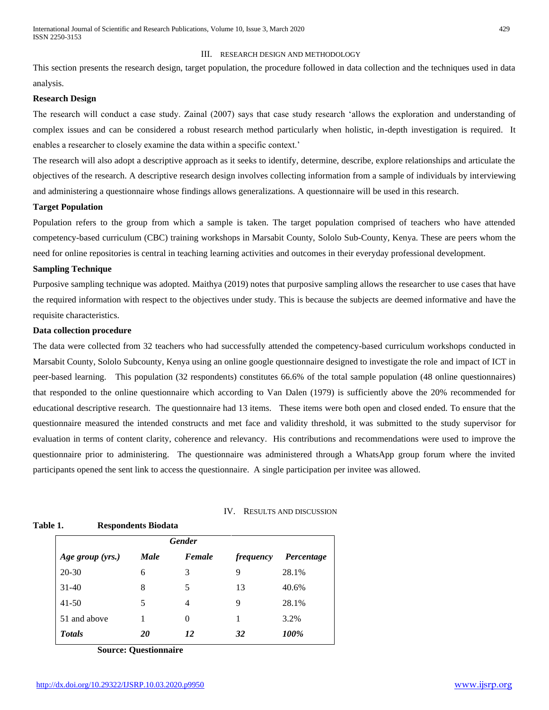#### III. RESEARCH DESIGN AND METHODOLOGY

This section presents the research design, target population, the procedure followed in data collection and the techniques used in data analysis.

## **Research Design**

The research will conduct a case study. Zainal (2007) says that case study research 'allows the exploration and understanding of complex issues and can be considered a robust research method particularly when holistic, in-depth investigation is required. It enables a researcher to closely examine the data within a specific context.'

The research will also adopt a descriptive approach as it seeks to identify, determine, describe, explore relationships and articulate the objectives of the research. A descriptive research design involves collecting information from a sample of individuals by interviewing and administering a questionnaire whose findings allows generalizations. A questionnaire will be used in this research.

## **Target Population**

Population refers to the group from which a sample is taken. The target population comprised of teachers who have attended competency-based curriculum (CBC) training workshops in Marsabit County, Sololo Sub-County, Kenya. These are peers whom the need for online repositories is central in teaching learning activities and outcomes in their everyday professional development.

#### **Sampling Technique**

Purposive sampling technique was adopted. Maithya (2019) notes that purposive sampling allows the researcher to use cases that have the required information with respect to the objectives under study. This is because the subjects are deemed informative and have the requisite characteristics.

## **Data collection procedure**

The data were collected from 32 teachers who had successfully attended the competency-based curriculum workshops conducted in Marsabit County, Sololo Subcounty, Kenya using an online google questionnaire designed to investigate the role and impact of ICT in peer-based learning. This population (32 respondents) constitutes 66.6% of the total sample population (48 online questionnaires) that responded to the online questionnaire which according to Van Dalen (1979) is sufficiently above the 20% recommended for educational descriptive research. The questionnaire had 13 items. These items were both open and closed ended. To ensure that the questionnaire measured the intended constructs and met face and validity threshold, it was submitted to the study supervisor for evaluation in terms of content clarity, coherence and relevancy. His contributions and recommendations were used to improve the questionnaire prior to administering. The questionnaire was administered through a WhatsApp group forum where the invited participants opened the sent link to access the questionnaire. A single participation per invitee was allowed.

| IV. RESULTS AND DISCUSSION |  |
|----------------------------|--|
|----------------------------|--|

#### **Table 1. Respondents Biodata**

| <b>Gender</b>    |             |        |                  |            |
|------------------|-------------|--------|------------------|------------|
| Age group (yrs.) | <b>Male</b> | Female | <i>frequency</i> | Percentage |
| $20 - 30$        | 6           | 3      | 9                | 28.1%      |
| $31 - 40$        | 8           | 5      | 13               | 40.6%      |
| $41 - 50$        | 5           | 4      | 9                | 28.1%      |
| 51 and above     |             | 0      |                  | 3.2%       |
| <b>Totals</b>    | 20          | 12     | 32               | 100%       |

**Source: Questionnaire**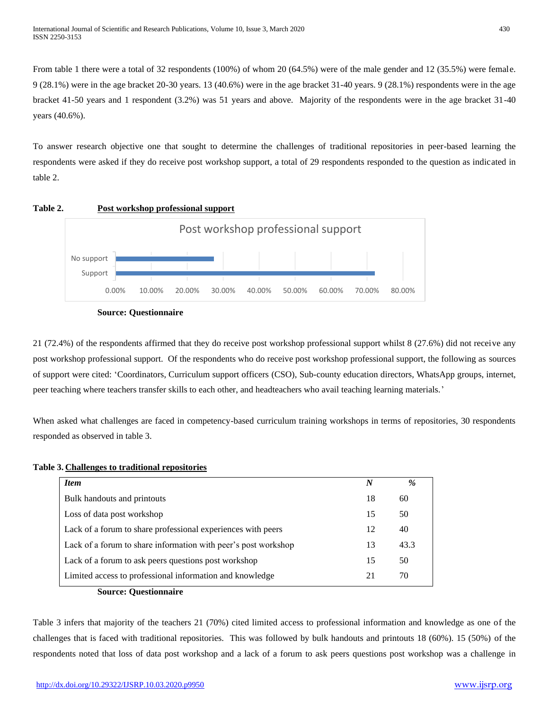From table 1 there were a total of 32 respondents (100%) of whom 20 (64.5%) were of the male gender and 12 (35.5%) were female. 9 (28.1%) were in the age bracket 20-30 years. 13 (40.6%) were in the age bracket 31-40 years. 9 (28.1%) respondents were in the age bracket 41-50 years and 1 respondent (3.2%) was 51 years and above. Majority of the respondents were in the age bracket 31-40 years (40.6%).

To answer research objective one that sought to determine the challenges of traditional repositories in peer-based learning the respondents were asked if they do receive post workshop support, a total of 29 respondents responded to the question as indicated in table 2.







21 (72.4%) of the respondents affirmed that they do receive post workshop professional support whilst 8 (27.6%) did not receive any post workshop professional support. Of the respondents who do receive post workshop professional support, the following as sources of support were cited: 'Coordinators, Curriculum support officers (CSO), Sub-county education directors, WhatsApp groups, internet, peer teaching where teachers transfer skills to each other, and headteachers who avail teaching learning materials.'

When asked what challenges are faced in competency-based curriculum training workshops in terms of repositories, 30 respondents responded as observed in table 3.

| <b>Item</b>                                                    | N  | $\%$ |
|----------------------------------------------------------------|----|------|
| Bulk handouts and printouts                                    | 18 | 60   |
| Loss of data post workshop                                     | 15 | 50   |
| Lack of a forum to share professional experiences with peers   | 12 | 40   |
| Lack of a forum to share information with peer's post workshop | 13 | 43.3 |
| Lack of a forum to ask peers questions post workshop           | 15 | 50   |
| Limited access to professional information and knowledge       | 21 | 70   |

## **Table 3. Challenges to traditional repositories**

**Source: Questionnaire**

Table 3 infers that majority of the teachers 21 (70%) cited limited access to professional information and knowledge as one of the challenges that is faced with traditional repositories. This was followed by bulk handouts and printouts 18 (60%). 15 (50%) of the respondents noted that loss of data post workshop and a lack of a forum to ask peers questions post workshop was a challenge in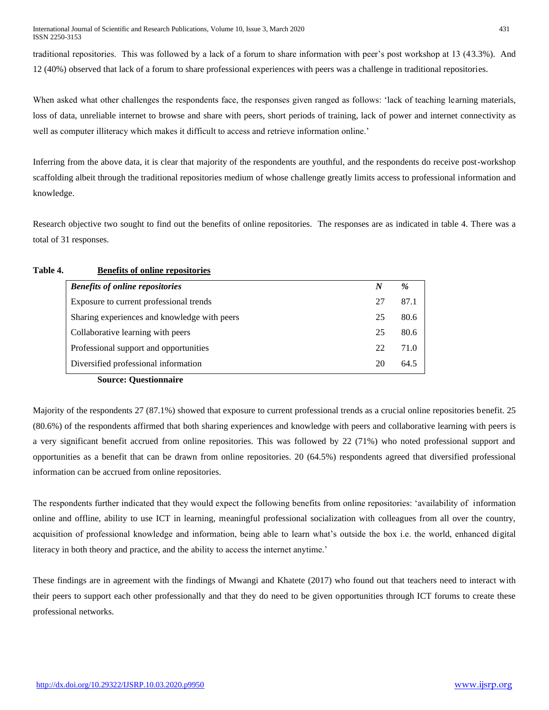traditional repositories. This was followed by a lack of a forum to share information with peer's post workshop at 13 (43.3%). And 12 (40%) observed that lack of a forum to share professional experiences with peers was a challenge in traditional repositories.

When asked what other challenges the respondents face, the responses given ranged as follows: 'lack of teaching learning materials, loss of data, unreliable internet to browse and share with peers, short periods of training, lack of power and internet connectivity as well as computer illiteracy which makes it difficult to access and retrieve information online.'

Inferring from the above data, it is clear that majority of the respondents are youthful, and the respondents do receive post-workshop scaffolding albeit through the traditional repositories medium of whose challenge greatly limits access to professional information and knowledge.

Research objective two sought to find out the benefits of online repositories. The responses are as indicated in table 4. There was a total of 31 responses.

## **Table 4. Benefits of online repositories**

| <b>Benefits of online repositories</b>       | N  | $\%$ |
|----------------------------------------------|----|------|
| Exposure to current professional trends      |    | 87.1 |
| Sharing experiences and knowledge with peers | 25 | 80.6 |
| Collaborative learning with peers            | 25 | 80.6 |
| Professional support and opportunities       | 22 | 71.0 |
| Diversified professional information         |    | 64.5 |

**Source: Questionnaire**

Majority of the respondents 27 (87.1%) showed that exposure to current professional trends as a crucial online repositories benefit. 25 (80.6%) of the respondents affirmed that both sharing experiences and knowledge with peers and collaborative learning with peers is a very significant benefit accrued from online repositories. This was followed by 22 (71%) who noted professional support and opportunities as a benefit that can be drawn from online repositories. 20 (64.5%) respondents agreed that diversified professional information can be accrued from online repositories.

The respondents further indicated that they would expect the following benefits from online repositories: 'availability of information online and offline, ability to use ICT in learning, meaningful professional socialization with colleagues from all over the country, acquisition of professional knowledge and information, being able to learn what's outside the box i.e. the world, enhanced digital literacy in both theory and practice, and the ability to access the internet anytime.'

These findings are in agreement with the findings of Mwangi and Khatete (2017) who found out that teachers need to interact with their peers to support each other professionally and that they do need to be given opportunities through ICT forums to create these professional networks.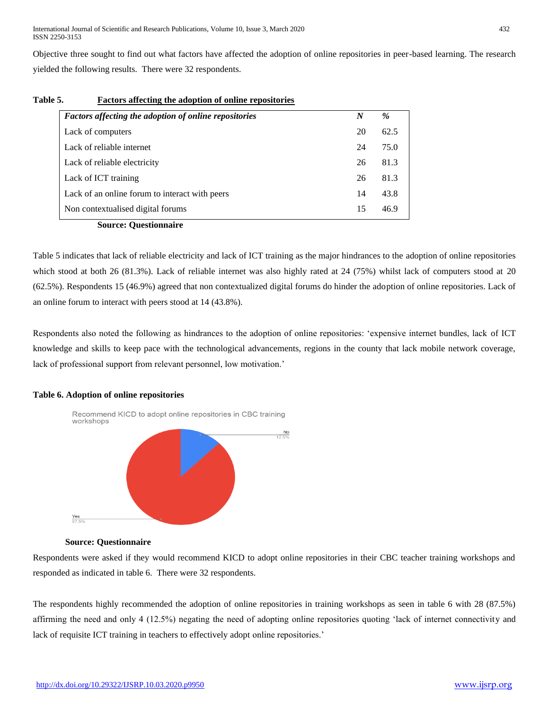International Journal of Scientific and Research Publications, Volume 10, Issue 3, March 2020 432 ISSN 2250-3153

Objective three sought to find out what factors have affected the adoption of online repositories in peer-based learning. The research yielded the following results. There were 32 respondents.

| <b>Factors affecting the adoption of online repositories</b> | $\boldsymbol{N}$ | %    |
|--------------------------------------------------------------|------------------|------|
| Lack of computers                                            | 20               | 62.5 |
| Lack of reliable internet                                    | 24               | 75.0 |
| Lack of reliable electricity                                 | 26               | 81.3 |
| Lack of ICT training                                         | 26               | 81.3 |
| Lack of an online forum to interact with peers               | 14               | 43.8 |
| Non contextualised digital forums                            | 15               | 46.9 |

| Table 5. | <b>Factors affecting the adoption of online repositories</b> |  |  |
|----------|--------------------------------------------------------------|--|--|
|          |                                                              |  |  |

Table 5 indicates that lack of reliable electricity and lack of ICT training as the major hindrances to the adoption of online repositories which stood at both 26 (81.3%). Lack of reliable internet was also highly rated at 24 (75%) whilst lack of computers stood at 20 (62.5%). Respondents 15 (46.9%) agreed that non contextualized digital forums do hinder the adoption of online repositories. Lack of an online forum to interact with peers stood at 14 (43.8%).

Respondents also noted the following as hindrances to the adoption of online repositories: 'expensive internet bundles, lack of ICT knowledge and skills to keep pace with the technological advancements, regions in the county that lack mobile network coverage, lack of professional support from relevant personnel, low motivation.'

## **Table 6. Adoption of online repositories**



## **Source: Questionnaire**

Respondents were asked if they would recommend KICD to adopt online repositories in their CBC teacher training workshops and responded as indicated in table 6. There were 32 respondents.

The respondents highly recommended the adoption of online repositories in training workshops as seen in table 6 with 28 (87.5%) affirming the need and only 4 (12.5%) negating the need of adopting online repositories quoting 'lack of internet connectivity and lack of requisite ICT training in teachers to effectively adopt online repositories.'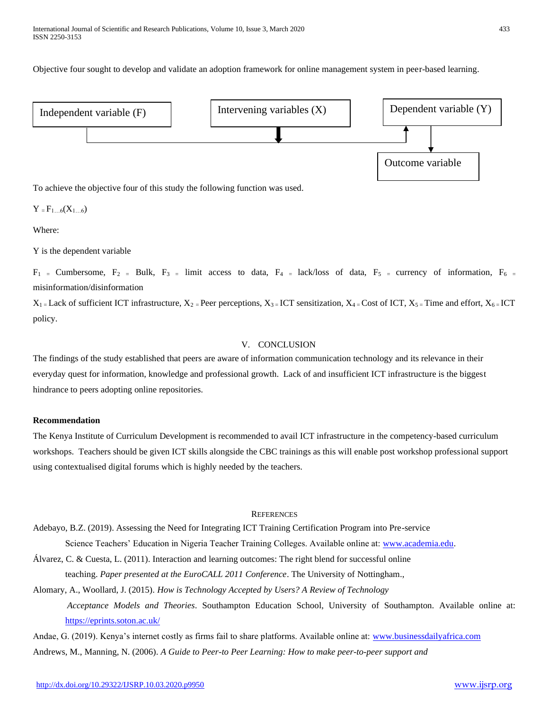Objective four sought to develop and validate an adoption framework for online management system in peer-based learning.



To achieve the objective four of this study the following function was used.

 $Y = F_{1...6}(X_{1...6})$ 

Where:

Y is the dependent variable

 $F_1$  = Cumbersome,  $F_2$  = Bulk,  $F_3$  = limit access to data,  $F_4$  = lack/loss of data,  $F_5$  = currency of information,  $F_6$  = misinformation/disinformation

 $X_1 =$  Lack of sufficient ICT infrastructure,  $X_2 =$  Peer perceptions,  $X_3 =$  ICT sensitization,  $X_4 =$  Cost of ICT,  $X_5 =$  Time and effort,  $X_6 =$  ICT policy.

## V. CONCLUSION

The findings of the study established that peers are aware of information communication technology and its relevance in their everyday quest for information, knowledge and professional growth. Lack of and insufficient ICT infrastructure is the biggest hindrance to peers adopting online repositories.

## **Recommendation**

The Kenya Institute of Curriculum Development is recommended to avail ICT infrastructure in the competency-based curriculum workshops. Teachers should be given ICT skills alongside the CBC trainings as this will enable post workshop professional support using contextualised digital forums which is highly needed by the teachers.

## **REFERENCES**

Adebayo, B.Z. (2019). Assessing the Need for Integrating ICT Training Certification Program into Pre-service Science Teachers' Education in Nigeria Teacher Training Colleges. Available online at: [www.academia.edu.](http://www.academia.edu/)

Álvarez, C. & Cuesta, L. (2011). Interaction and learning outcomes: The right blend for successful online teaching. *Paper presented at the EuroCALL 2011 Conference*. The University of Nottingham.,

Alomary, A., Woollard, J. (2015). *How is Technology Accepted by Users? A Review of Technology Acceptance Models and Theories*. Southampton Education School, University of Southampton. Available online at: <https://eprints.soton.ac.uk/>

Andae, G. (2019). Kenya's internet costly as firms fail to share platforms. Available online at: [www.businessdailyafrica.com](http://www.businessdailyafrica.com/) Andrews, M., Manning, N. (2006). *A Guide to Peer-to Peer Learning: How to make peer-to-peer support and*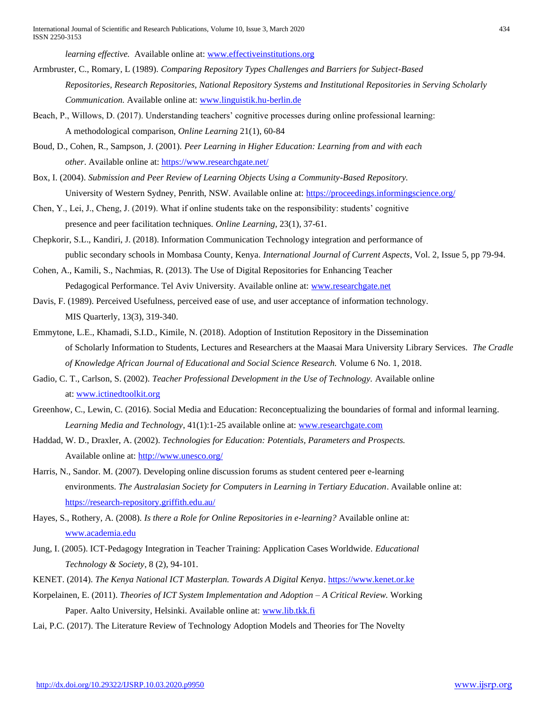*learning effective.* Available online at: [www.effectiveinstitutions.org](http://www.effectiveinstitutions.org/)

Armbruster, C., Romary, L (1989). *Comparing Repository Types Challenges and Barriers for Subject-Based Repositories, Research Repositories, National Repository Systems and Institutional Repositories in Serving Scholarly Communication.* Available online at: [www.linguistik.hu-berlin.de](http://www.linguistik.hu-berlin.de/)

- Beach, P., Willows, D. (2017). Understanding teachers' cognitive processes during online professional learning: A methodological comparison, *Online Learning* 21(1), 60-84
- Boud, D., Cohen, R., Sampson, J. (2001). *Peer Learning in Higher Education: Learning from and with each other*. Available online at:<https://www.researchgate.net/>
- Box, I. (2004). *Submission and Peer Review of Learning Objects Using a Community-Based Repository.* University of Western Sydney, Penrith, NSW. Available online at:<https://proceedings.informingscience.org/>
- Chen, Y., Lei, J., Cheng, J. (2019). What if online students take on the responsibility: students' cognitive presence and peer facilitation techniques. *Online Learning*, 23(1), 37-61.
- Chepkorir, S.L., Kandiri, J. (2018). Information Communication Technology integration and performance of public secondary schools in Mombasa County, Kenya. *International Journal of Current Aspects*, Vol. 2, Issue 5, pp 79-94.
- Cohen, A., Kamili, S., Nachmias, R. (2013). The Use of Digital Repositories for Enhancing Teacher Pedagogical Performance. Tel Aviv University. Available online at: [www.researchgate.net](http://www.researchgate.net/)
- Davis, F. (1989). Perceived Usefulness, perceived ease of use, and user acceptance of information technology. MIS Quarterly, 13(3), 319-340.
- Emmytone, L.E., Khamadi, S.I.D., Kimile, N. (2018). Adoption of Institution Repository in the Dissemination of Scholarly Information to Students, Lectures and Researchers at the Maasai Mara University Library Services. *The Cradle of Knowledge African Journal of Educational and Social Science Research.* Volume 6 No. 1, 2018.
- Gadio, C. T., Carlson, S. (2002). *Teacher Professional Development in the Use of Technology*. Available online at: [www.ictinedtoolkit.org](http://www.ictinedtoolkit.org/)
- Greenhow, C., Lewin, C. (2016). Social Media and Education: Reconceptualizing the boundaries of formal and informal learning. *Learning Media and Technology*, 41(1):1-25 available online at: [www.researchgate.com](http://www.researchgate.com/)
- Haddad, W. D., Draxler, A. (2002). *Technologies for Education: Potentials, Parameters and Prospects.* Available online at:<http://www.unesco.org/>
- Harris, N., Sandor. M. (2007). Developing online discussion forums as student centered peer e-learning environments. *The Australasian Society for Computers in Learning in Tertiary Education*. Available online at: <https://research-repository.griffith.edu.au/>
- Hayes, S., Rothery, A. (2008)*. Is there a Role for Online Repositories in e-learning?* Available online at: [www.academia.edu](http://www.academia.edu/)
- Jung, I. (2005). ICT-Pedagogy Integration in Teacher Training: Application Cases Worldwide. *Educational Technology & Society*, 8 (2), 94-101.
- KENET. (2014). *The Kenya National ICT Masterplan. Towards A Digital Kenya*. [https://www.kenet.or.ke](https://www.kenet.or.ke/)
- Korpelainen, E. (2011). *Theories of ICT System Implementation and Adoption – A Critical Review.* Working Paper. Aalto University, Helsinki. Available online at[: www.lib.tkk.fi](http://www.lib.tkk.fi/)
- Lai, P.C. (2017). The Literature Review of Technology Adoption Models and Theories for The Novelty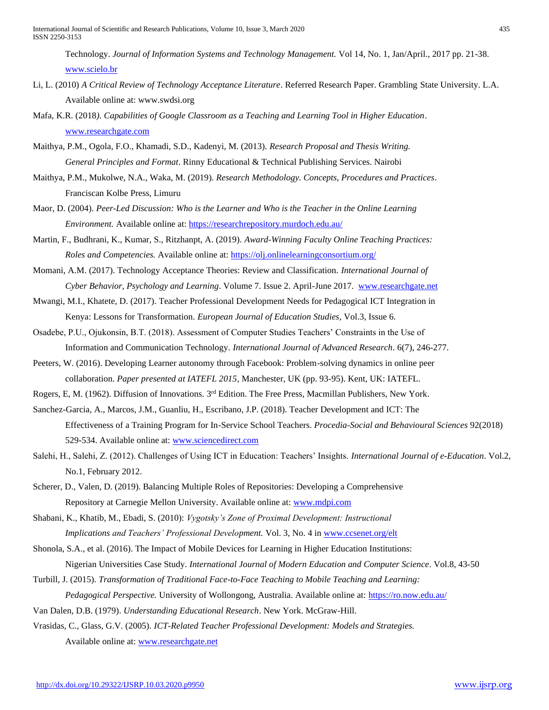- Li, L. (2010) *A Critical Review of Technology Acceptance Literature*. Referred Research Paper. Grambling State University. L.A. Available online at: [www.swdsi.org](http://www.swdsi.org/)
- Mafa, K.R. (2018*). Capabilities of Google Classroom as a Teaching and Learning Tool in Higher Education*. [www.researchgate.com](http://www.researchgate.com/)
- Maithya, P.M., Ogola, F.O., Khamadi, S.D., Kadenyi, M. (2013). *Research Proposal and Thesis Writing. General Principles and Format*. Rinny Educational & Technical Publishing Services. Nairobi
- Maithya, P.M., Mukolwe, N.A., Waka, M. (2019). *Research Methodology. Concepts, Procedures and Practices*. Franciscan Kolbe Press, Limuru
- Maor, D. (2004). *Peer-Led Discussion: Who is the Learner and Who is the Teacher in the Online Learning Environment.* Available online at[: https://researchrepository.murdoch.edu.au/](https://researchrepository.murdoch.edu.au/)
- Martin, F., Budhrani, K., Kumar, S., Ritzhanpt, A. (2019). *Award-Winning Faculty Online Teaching Practices: Roles and Competencies.* Available online at:<https://olj.onlinelearningconsortium.org/>
- Momani, A.M. (2017). Technology Acceptance Theories: Review and Classification. *International Journal of Cyber Behavior, Psychology and Learning*. Volume 7. Issue 2. April-June 2017. [www.researchgate.net](http://www.researchgate.net/)
- Mwangi, M.I., Khatete, D. (2017). Teacher Professional Development Needs for Pedagogical ICT Integration in Kenya: Lessons for Transformation. *European Journal of Education Studies*, Vol.3, Issue 6.
- Osadebe, P.U., Ojukonsin, B.T. (2018). Assessment of Computer Studies Teachers' Constraints in the Use of Information and Communication Technology. *International Journal of Advanced Research*. 6(7), 246-277.
- Peeters, W. (2016). Developing Learner autonomy through Facebook: Problem-solving dynamics in online peer collaboration. *Paper presented at IATEFL 2015*, Manchester, UK (pp. 93-95). Kent, UK: IATEFL.
- Rogers, E, M. (1962). Diffusion of Innovations. 3<sup>rd</sup> Edition. The Free Press, Macmillan Publishers, New York.
- Sanchez-Garcia, A., Marcos, J.M., Guanliu, H., Escribano, J.P. (2018). Teacher Development and ICT: The Effectiveness of a Training Program for In-Service School Teachers. *Procedia-Social and Behavioural Sciences* 92(2018) 529-534. Available online at: [www.sciencedirect.com](http://www.sciencedirect.com/)
- Salehi, H., Salehi, Z. (2012). Challenges of Using ICT in Education: Teachers' Insights. *International Journal of e-Education*. Vol.2, No.1, February 2012.
- Scherer, D., Valen, D. (2019). Balancing Multiple Roles of Repositories: Developing a Comprehensive Repository at Carnegie Mellon University. Available online at: [www.mdpi.com](http://www.mdpi.com/)
- Shabani, K., Khatib, M., Ebadi, S. (2010): *Vygotsky's Zone of Proximal Development: Instructional Implications and Teachers' Professional Development.* Vol. 3, No. 4 in [www.ccsenet.org/elt](http://www.ccsenet.org/elt)
- Shonola, S.A., et al. (2016). The Impact of Mobile Devices for Learning in Higher Education Institutions: Nigerian Universities Case Study. *International Journal of Modern Education and Computer Science*. Vol.8, 43-50
- Turbill, J. (2015). *Transformation of Traditional Face-to-Face Teaching to Mobile Teaching and Learning: Pedagogical Perspective.* University of Wollongong, Australia. Available online at:<https://ro.now.edu.au/>
- Van Dalen, D.B. (1979). *Understanding Educational Research*. New York. McGraw-Hill.
- Vrasidas, C., Glass, G.V. (2005). *ICT-Related Teacher Professional Development: Models and Strategies.*

Available online at: [www.researchgate.net](http://www.researchgate.net/)